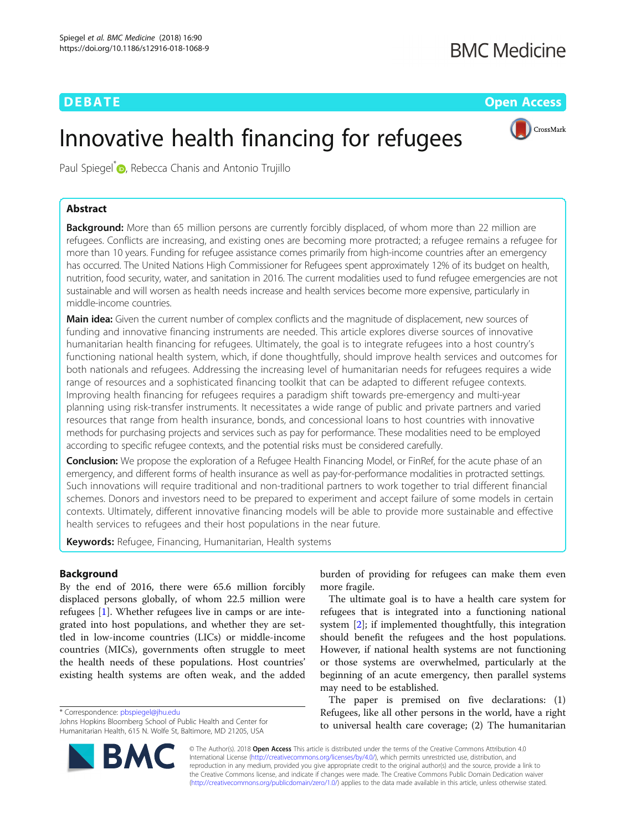**DEBATE CONSERVATION DEBATE CONSERVATION** 

# Innovative health financing for refugees



Paul Spiegel<sup>\*</sup><sup>D</sup>[,](http://orcid.org/0000-0002-6158-6661) Rebecca Chanis and Antonio Trujillo

## Abstract

Background: More than 65 million persons are currently forcibly displaced, of whom more than 22 million are refugees. Conflicts are increasing, and existing ones are becoming more protracted; a refugee remains a refugee for more than 10 years. Funding for refugee assistance comes primarily from high-income countries after an emergency has occurred. The United Nations High Commissioner for Refugees spent approximately 12% of its budget on health, nutrition, food security, water, and sanitation in 2016. The current modalities used to fund refugee emergencies are not sustainable and will worsen as health needs increase and health services become more expensive, particularly in middle-income countries.

Main idea: Given the current number of complex conflicts and the magnitude of displacement, new sources of funding and innovative financing instruments are needed. This article explores diverse sources of innovative humanitarian health financing for refugees. Ultimately, the goal is to integrate refugees into a host country's functioning national health system, which, if done thoughtfully, should improve health services and outcomes for both nationals and refugees. Addressing the increasing level of humanitarian needs for refugees requires a wide range of resources and a sophisticated financing toolkit that can be adapted to different refugee contexts. Improving health financing for refugees requires a paradigm shift towards pre-emergency and multi-year planning using risk-transfer instruments. It necessitates a wide range of public and private partners and varied resources that range from health insurance, bonds, and concessional loans to host countries with innovative methods for purchasing projects and services such as pay for performance. These modalities need to be employed according to specific refugee contexts, and the potential risks must be considered carefully.

Conclusion: We propose the exploration of a Refugee Health Financing Model, or FinRef, for the acute phase of an emergency, and different forms of health insurance as well as pay-for-performance modalities in protracted settings. Such innovations will require traditional and non-traditional partners to work together to trial different financial schemes. Donors and investors need to be prepared to experiment and accept failure of some models in certain contexts. Ultimately, different innovative financing models will be able to provide more sustainable and effective health services to refugees and their host populations in the near future.

Keywords: Refugee, Financing, Humanitarian, Health systems

## Background

By the end of 2016, there were 65.6 million forcibly displaced persons globally, of whom 22.5 million were refugees [[1\]](#page-8-0). Whether refugees live in camps or are integrated into host populations, and whether they are settled in low-income countries (LICs) or middle-income countries (MICs), governments often struggle to meet the health needs of these populations. Host countries' existing health systems are often weak, and the added

\* Correspondence: [pbspiegel@jhu.edu](mailto:pbspiegel@jhu.edu)

**BM** 



The ultimate goal is to have a health care system for refugees that is integrated into a functioning national system [\[2](#page-8-0)]; if implemented thoughtfully, this integration should benefit the refugees and the host populations. However, if national health systems are not functioning or those systems are overwhelmed, particularly at the beginning of an acute emergency, then parallel systems may need to be established.

The paper is premised on five declarations: (1) Refugees, like all other persons in the world, have a right to universal health care coverage; (2) The humanitarian

© The Author(s). 2018 Open Access This article is distributed under the terms of the Creative Commons Attribution 4.0 International License [\(http://creativecommons.org/licenses/by/4.0/](http://creativecommons.org/licenses/by/4.0/)), which permits unrestricted use, distribution, and reproduction in any medium, provided you give appropriate credit to the original author(s) and the source, provide a link to the Creative Commons license, and indicate if changes were made. The Creative Commons Public Domain Dedication waiver [\(http://creativecommons.org/publicdomain/zero/1.0/](http://creativecommons.org/publicdomain/zero/1.0/)) applies to the data made available in this article, unless otherwise stated.

Johns Hopkins Bloomberg School of Public Health and Center for Humanitarian Health, 615 N. Wolfe St, Baltimore, MD 21205, USA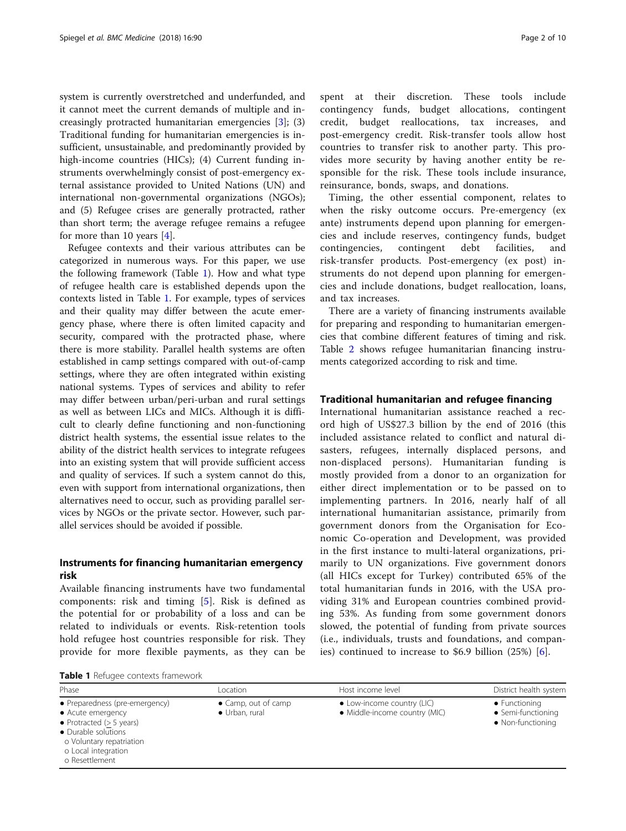<span id="page-1-0"></span>system is currently overstretched and underfunded, and it cannot meet the current demands of multiple and increasingly protracted humanitarian emergencies [[3\]](#page-8-0); (3) Traditional funding for humanitarian emergencies is insufficient, unsustainable, and predominantly provided by high-income countries (HICs); (4) Current funding instruments overwhelmingly consist of post-emergency external assistance provided to United Nations (UN) and international non-governmental organizations (NGOs); and (5) Refugee crises are generally protracted, rather than short term; the average refugee remains a refugee for more than 10 years [\[4](#page-8-0)].

Refugee contexts and their various attributes can be categorized in numerous ways. For this paper, we use the following framework (Table 1). How and what type of refugee health care is established depends upon the contexts listed in Table 1. For example, types of services and their quality may differ between the acute emergency phase, where there is often limited capacity and security, compared with the protracted phase, where there is more stability. Parallel health systems are often established in camp settings compared with out-of-camp settings, where they are often integrated within existing national systems. Types of services and ability to refer may differ between urban/peri-urban and rural settings as well as between LICs and MICs. Although it is difficult to clearly define functioning and non-functioning district health systems, the essential issue relates to the ability of the district health services to integrate refugees into an existing system that will provide sufficient access and quality of services. If such a system cannot do this, even with support from international organizations, then alternatives need to occur, such as providing parallel services by NGOs or the private sector. However, such parallel services should be avoided if possible.

## Instruments for financing humanitarian emergency risk

Available financing instruments have two fundamental components: risk and timing [[5](#page-8-0)]. Risk is defined as the potential for or probability of a loss and can be related to individuals or events. Risk-retention tools hold refugee host countries responsible for risk. They provide for more flexible payments, as they can be

spent at their discretion. These tools include contingency funds, budget allocations, contingent credit, budget reallocations, tax increases, and post-emergency credit. Risk-transfer tools allow host countries to transfer risk to another party. This provides more security by having another entity be responsible for the risk. These tools include insurance, reinsurance, bonds, swaps, and donations.

Timing, the other essential component, relates to when the risky outcome occurs. Pre-emergency (ex ante) instruments depend upon planning for emergencies and include reserves, contingency funds, budget contingencies, contingent debt facilities, and risk-transfer products. Post-emergency (ex post) instruments do not depend upon planning for emergencies and include donations, budget reallocation, loans, and tax increases.

There are a variety of financing instruments available for preparing and responding to humanitarian emergencies that combine different features of timing and risk. Table [2](#page-2-0) shows refugee humanitarian financing instruments categorized according to risk and time.

## Traditional humanitarian and refugee financing

International humanitarian assistance reached a record high of US\$27.3 billion by the end of 2016 (this included assistance related to conflict and natural disasters, refugees, internally displaced persons, and non-displaced persons). Humanitarian funding is mostly provided from a donor to an organization for either direct implementation or to be passed on to implementing partners. In 2016, nearly half of all international humanitarian assistance, primarily from government donors from the Organisation for Economic Co-operation and Development, was provided in the first instance to multi-lateral organizations, primarily to UN organizations. Five government donors (all HICs except for Turkey) contributed 65% of the total humanitarian funds in 2016, with the USA providing 31% and European countries combined providing 53%. As funding from some government donors slowed, the potential of funding from private sources (i.e., individuals, trusts and foundations, and companies) continued to increase to \$6.9 billion (25%) [\[6](#page-9-0)].

Table 1 Refugee contexts framework

| Phase                                                                                                                                                                         | Location                                              | Host income level                                           | District health system                                           |
|-------------------------------------------------------------------------------------------------------------------------------------------------------------------------------|-------------------------------------------------------|-------------------------------------------------------------|------------------------------------------------------------------|
| • Preparedness (pre-emergency)<br>• Acute emergency<br>• Protracted $(> 5$ years)<br>• Durable solutions<br>o Voluntary repatriation<br>o Local integration<br>o Resettlement | $\bullet$ Camp, out of camp<br>$\bullet$ Urban, rural | • Low-income country (LIC)<br>• Middle-income country (MIC) | $\bullet$ Functioning<br>• Semi-functioning<br>• Non-functioning |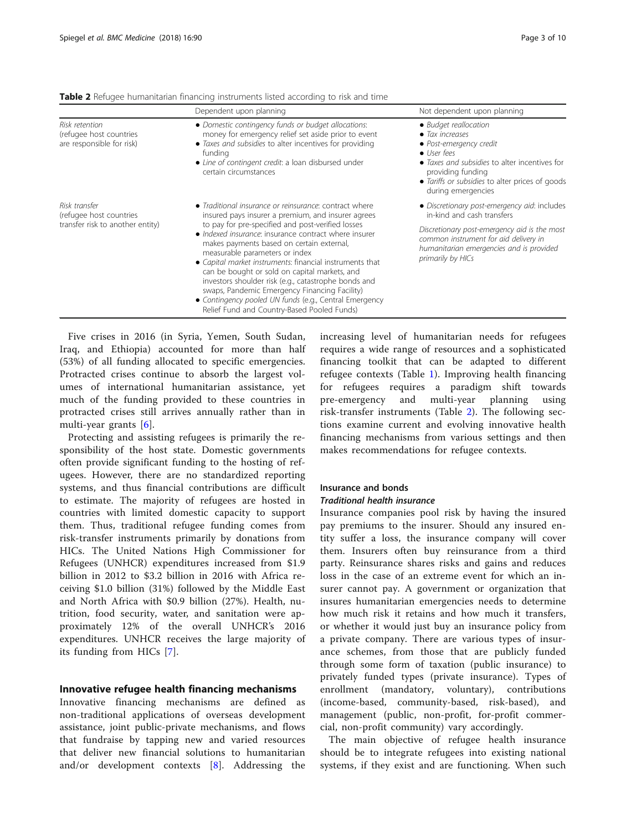|                                                                              | Dependent upon planning                                                                                                                                                                                                                                                                                                                                                                                                                                                                                                                                                                                                                  | Not dependent upon planning                                                                                                                                                                                                               |
|------------------------------------------------------------------------------|------------------------------------------------------------------------------------------------------------------------------------------------------------------------------------------------------------------------------------------------------------------------------------------------------------------------------------------------------------------------------------------------------------------------------------------------------------------------------------------------------------------------------------------------------------------------------------------------------------------------------------------|-------------------------------------------------------------------------------------------------------------------------------------------------------------------------------------------------------------------------------------------|
| Risk retention<br>(refugee host countries<br>are responsible for risk)       | • Domestic contingency funds or budget allocations:<br>money for emergency relief set aside prior to event<br>• Taxes and subsidies to alter incentives for providing<br>funding<br>• Line of contingent credit: a loan disbursed under<br>certain circumstances                                                                                                                                                                                                                                                                                                                                                                         | • Budget reallocation<br>$\bullet$ Tax increases<br>• Post-emergency credit<br>• User fees<br>• Taxes and subsidies to alter incentives for<br>providing funding<br>• Tariffs or subsidies to alter prices of goods<br>during emergencies |
| Risk transfer<br>(refugee host countries<br>transfer risk to another entity) | • Traditional insurance or reinsurance: contract where<br>insured pays insurer a premium, and insurer agrees<br>to pay for pre-specified and post-verified losses<br>• Indexed insurance: insurance contract where insurer<br>makes payments based on certain external,<br>measurable parameters or index<br>• Capital market instruments: financial instruments that<br>can be bought or sold on capital markets, and<br>investors shoulder risk (e.g., catastrophe bonds and<br>swaps, Pandemic Emergency Financing Facility)<br>· Contingency pooled UN funds (e.g., Central Emergency<br>Relief Fund and Country-Based Pooled Funds) | • Discretionary post-emergency aid: includes<br>in-kind and cash transfers<br>Discretionary post-emergency aid is the most<br>common instrument for aid delivery in<br>humanitarian emergencies and is provided<br>primarily by HICs      |

<span id="page-2-0"></span>Table 2 Refugee humanitarian financing instruments listed according to risk and time

Five crises in 2016 (in Syria, Yemen, South Sudan, Iraq, and Ethiopia) accounted for more than half (53%) of all funding allocated to specific emergencies. Protracted crises continue to absorb the largest volumes of international humanitarian assistance, yet much of the funding provided to these countries in protracted crises still arrives annually rather than in multi-year grants [[6\]](#page-9-0).

Protecting and assisting refugees is primarily the responsibility of the host state. Domestic governments often provide significant funding to the hosting of refugees. However, there are no standardized reporting systems, and thus financial contributions are difficult to estimate. The majority of refugees are hosted in countries with limited domestic capacity to support them. Thus, traditional refugee funding comes from risk-transfer instruments primarily by donations from HICs. The United Nations High Commissioner for Refugees (UNHCR) expenditures increased from \$1.9 billion in 2012 to \$3.2 billion in 2016 with Africa receiving \$1.0 billion (31%) followed by the Middle East and North Africa with \$0.9 billion (27%). Health, nutrition, food security, water, and sanitation were approximately 12% of the overall UNHCR's 2016 expenditures. UNHCR receives the large majority of its funding from HICs [[7\]](#page-9-0).

## Innovative refugee health financing mechanisms

Innovative financing mechanisms are defined as non-traditional applications of overseas development assistance, joint public-private mechanisms, and flows that fundraise by tapping new and varied resources that deliver new financial solutions to humanitarian and/or development contexts [[8\]](#page-9-0). Addressing the increasing level of humanitarian needs for refugees requires a wide range of resources and a sophisticated financing toolkit that can be adapted to different refugee contexts (Table [1](#page-1-0)). Improving health financing for refugees requires a paradigm shift towards pre-emergency and multi-year planning using risk-transfer instruments (Table 2). The following sections examine current and evolving innovative health financing mechanisms from various settings and then makes recommendations for refugee contexts.

## Insurance and bonds

## Traditional health insurance

Insurance companies pool risk by having the insured pay premiums to the insurer. Should any insured entity suffer a loss, the insurance company will cover them. Insurers often buy reinsurance from a third party. Reinsurance shares risks and gains and reduces loss in the case of an extreme event for which an insurer cannot pay. A government or organization that insures humanitarian emergencies needs to determine how much risk it retains and how much it transfers, or whether it would just buy an insurance policy from a private company. There are various types of insurance schemes, from those that are publicly funded through some form of taxation (public insurance) to privately funded types (private insurance). Types of enrollment (mandatory, voluntary), contributions (income-based, community-based, risk-based), and management (public, non-profit, for-profit commercial, non-profit community) vary accordingly.

The main objective of refugee health insurance should be to integrate refugees into existing national systems, if they exist and are functioning. When such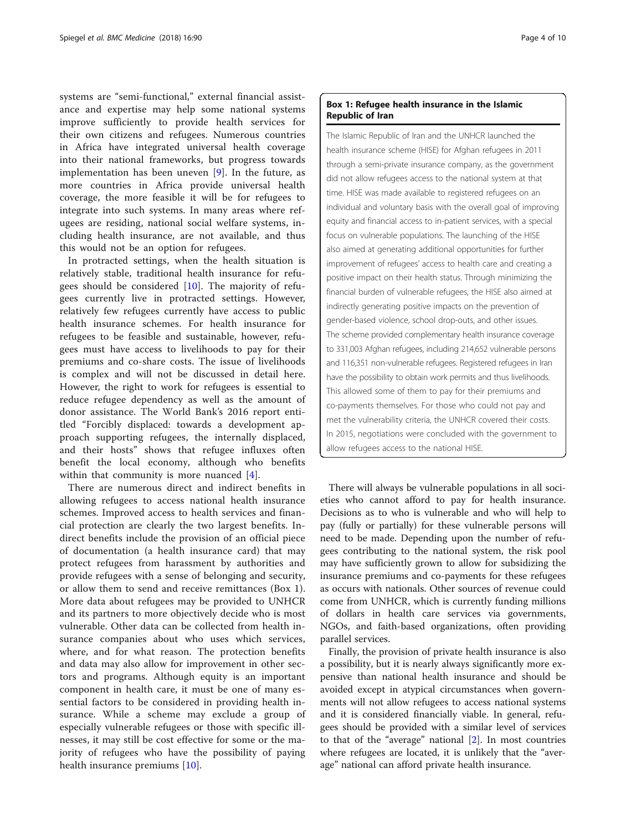systems are "semi-functional," external financial assistance and expertise may help some national systems improve sufficiently to provide health services for their own citizens and refugees. Numerous countries in Africa have integrated universal health coverage into their national frameworks, but progress towards implementation has been uneven [[9\]](#page-9-0). In the future, as more countries in Africa provide universal health coverage, the more feasible it will be for refugees to integrate into such systems. In many areas where refugees are residing, national social welfare systems, including health insurance, are not available, and thus this would not be an option for refugees.

In protracted settings, when the health situation is relatively stable, traditional health insurance for refugees should be considered [[10\]](#page-9-0). The majority of refugees currently live in protracted settings. However, relatively few refugees currently have access to public health insurance schemes. For health insurance for refugees to be feasible and sustainable, however, refugees must have access to livelihoods to pay for their premiums and co-share costs. The issue of livelihoods is complex and will not be discussed in detail here. However, the right to work for refugees is essential to reduce refugee dependency as well as the amount of donor assistance. The World Bank's 2016 report entitled "Forcibly displaced: towards a development approach supporting refugees, the internally displaced, and their hosts" shows that refugee influxes often benefit the local economy, although who benefits within that community is more nuanced [\[4](#page-8-0)].

There are numerous direct and indirect benefits in allowing refugees to access national health insurance schemes. Improved access to health services and financial protection are clearly the two largest benefits. Indirect benefits include the provision of an official piece of documentation (a health insurance card) that may protect refugees from harassment by authorities and provide refugees with a sense of belonging and security, or allow them to send and receive remittances (Box 1). More data about refugees may be provided to UNHCR and its partners to more objectively decide who is most vulnerable. Other data can be collected from health insurance companies about who uses which services, where, and for what reason. The protection benefits and data may also allow for improvement in other sectors and programs. Although equity is an important component in health care, it must be one of many essential factors to be considered in providing health insurance. While a scheme may exclude a group of especially vulnerable refugees or those with specific illnesses, it may still be cost effective for some or the majority of refugees who have the possibility of paying health insurance premiums [[10\]](#page-9-0).

## Box 1: Refugee health insurance in the Islamic Republic of Iran

The Islamic Republic of Iran and the UNHCR launched the health insurance scheme (HISE) for Afghan refugees in 2011 through a semi-private insurance company, as the government did not allow refugees access to the national system at that time. HISE was made available to registered refugees on an individual and voluntary basis with the overall goal of improving equity and financial access to in-patient services, with a special focus on vulnerable populations. The launching of the HISE also aimed at generating additional opportunities for further improvement of refugees' access to health care and creating a positive impact on their health status. Through minimizing the financial burden of vulnerable refugees, the HISE also aimed at indirectly generating positive impacts on the prevention of gender-based violence, school drop-outs, and other issues. The scheme provided complementary health insurance coverage to 331,003 Afghan refugees, including 214,652 vulnerable persons and 116,351 non-vulnerable refugees. Registered refugees in Iran have the possibility to obtain work permits and thus livelihoods. This allowed some of them to pay for their premiums and co-payments themselves. For those who could not pay and met the vulnerability criteria, the UNHCR covered their costs. In 2015, negotiations were concluded with the government to allow refugees access to the national HISE.

There will always be vulnerable populations in all societies who cannot afford to pay for health insurance. Decisions as to who is vulnerable and who will help to pay (fully or partially) for these vulnerable persons will need to be made. Depending upon the number of refugees contributing to the national system, the risk pool may have sufficiently grown to allow for subsidizing the insurance premiums and co-payments for these refugees as occurs with nationals. Other sources of revenue could come from UNHCR, which is currently funding millions of dollars in health care services via governments, NGOs, and faith-based organizations, often providing parallel services.

Finally, the provision of private health insurance is also a possibility, but it is nearly always significantly more expensive than national health insurance and should be avoided except in atypical circumstances when governments will not allow refugees to access national systems and it is considered financially viable. In general, refugees should be provided with a similar level of services to that of the "average" national [[2\]](#page-8-0). In most countries where refugees are located, it is unlikely that the "average" national can afford private health insurance.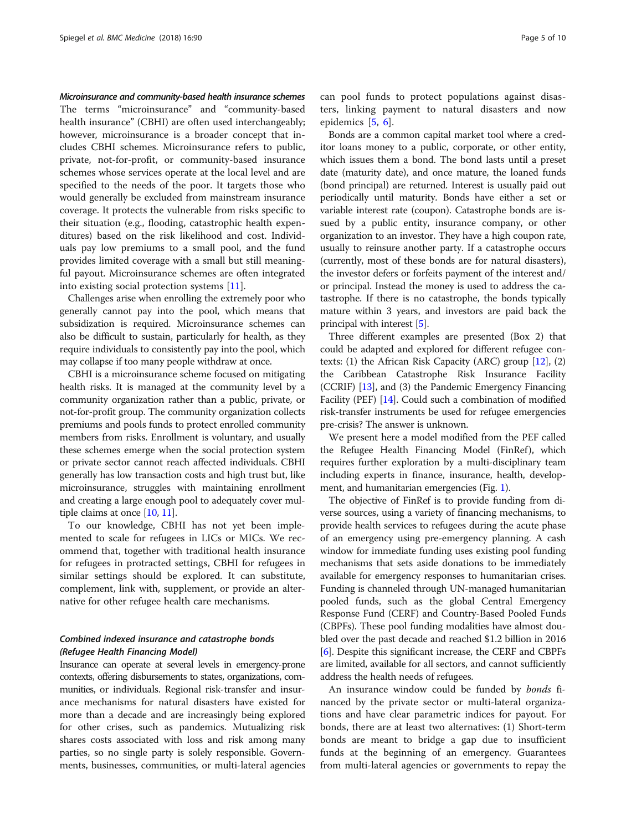Microinsurance and community-based health insurance schemes The terms "microinsurance" and "community-based health insurance" (CBHI) are often used interchangeably; however, microinsurance is a broader concept that includes CBHI schemes. Microinsurance refers to public, private, not-for-profit, or community-based insurance schemes whose services operate at the local level and are specified to the needs of the poor. It targets those who would generally be excluded from mainstream insurance coverage. It protects the vulnerable from risks specific to their situation (e.g., flooding, catastrophic health expenditures) based on the risk likelihood and cost. Individuals pay low premiums to a small pool, and the fund provides limited coverage with a small but still meaningful payout. Microinsurance schemes are often integrated into existing social protection systems [[11\]](#page-9-0).

Challenges arise when enrolling the extremely poor who generally cannot pay into the pool, which means that subsidization is required. Microinsurance schemes can also be difficult to sustain, particularly for health, as they require individuals to consistently pay into the pool, which may collapse if too many people withdraw at once.

CBHI is a microinsurance scheme focused on mitigating health risks. It is managed at the community level by a community organization rather than a public, private, or not-for-profit group. The community organization collects premiums and pools funds to protect enrolled community members from risks. Enrollment is voluntary, and usually these schemes emerge when the social protection system or private sector cannot reach affected individuals. CBHI generally has low transaction costs and high trust but, like microinsurance, struggles with maintaining enrollment and creating a large enough pool to adequately cover multiple claims at once [[10](#page-9-0), [11\]](#page-9-0).

To our knowledge, CBHI has not yet been implemented to scale for refugees in LICs or MICs. We recommend that, together with traditional health insurance for refugees in protracted settings, CBHI for refugees in similar settings should be explored. It can substitute, complement, link with, supplement, or provide an alternative for other refugee health care mechanisms.

## Combined indexed insurance and catastrophe bonds (Refugee Health Financing Model)

Insurance can operate at several levels in emergency-prone contexts, offering disbursements to states, organizations, communities, or individuals. Regional risk-transfer and insurance mechanisms for natural disasters have existed for more than a decade and are increasingly being explored for other crises, such as pandemics. Mutualizing risk shares costs associated with loss and risk among many parties, so no single party is solely responsible. Governments, businesses, communities, or multi-lateral agencies

can pool funds to protect populations against disasters, linking payment to natural disasters and now epidemics [\[5](#page-8-0), [6\]](#page-9-0).

Bonds are a common capital market tool where a creditor loans money to a public, corporate, or other entity, which issues them a bond. The bond lasts until a preset date (maturity date), and once mature, the loaned funds (bond principal) are returned. Interest is usually paid out periodically until maturity. Bonds have either a set or variable interest rate (coupon). Catastrophe bonds are issued by a public entity, insurance company, or other organization to an investor. They have a high coupon rate, usually to reinsure another party. If a catastrophe occurs (currently, most of these bonds are for natural disasters), the investor defers or forfeits payment of the interest and/ or principal. Instead the money is used to address the catastrophe. If there is no catastrophe, the bonds typically mature within 3 years, and investors are paid back the principal with interest [\[5](#page-8-0)].

Three different examples are presented (Box 2) that could be adapted and explored for different refugee contexts:  $(1)$  the African Risk Capacity (ARC) group  $[12]$  $[12]$ ,  $(2)$ the Caribbean Catastrophe Risk Insurance Facility (CCRIF) [\[13\]](#page-9-0), and (3) the Pandemic Emergency Financing Facility (PEF) [\[14](#page-9-0)]. Could such a combination of modified risk-transfer instruments be used for refugee emergencies pre-crisis? The answer is unknown.

We present here a model modified from the PEF called the Refugee Health Financing Model (FinRef), which requires further exploration by a multi-disciplinary team including experts in finance, insurance, health, develop-ment, and humanitarian emergencies (Fig. [1\)](#page-5-0).

The objective of FinRef is to provide funding from diverse sources, using a variety of financing mechanisms, to provide health services to refugees during the acute phase of an emergency using pre-emergency planning. A cash window for immediate funding uses existing pool funding mechanisms that sets aside donations to be immediately available for emergency responses to humanitarian crises. Funding is channeled through UN-managed humanitarian pooled funds, such as the global Central Emergency Response Fund (CERF) and Country-Based Pooled Funds (CBPFs). These pool funding modalities have almost doubled over the past decade and reached \$1.2 billion in 2016 [[6\]](#page-9-0). Despite this significant increase, the CERF and CBPFs are limited, available for all sectors, and cannot sufficiently address the health needs of refugees.

An insurance window could be funded by *bonds* financed by the private sector or multi-lateral organizations and have clear parametric indices for payout. For bonds, there are at least two alternatives: (1) Short-term bonds are meant to bridge a gap due to insufficient funds at the beginning of an emergency. Guarantees from multi-lateral agencies or governments to repay the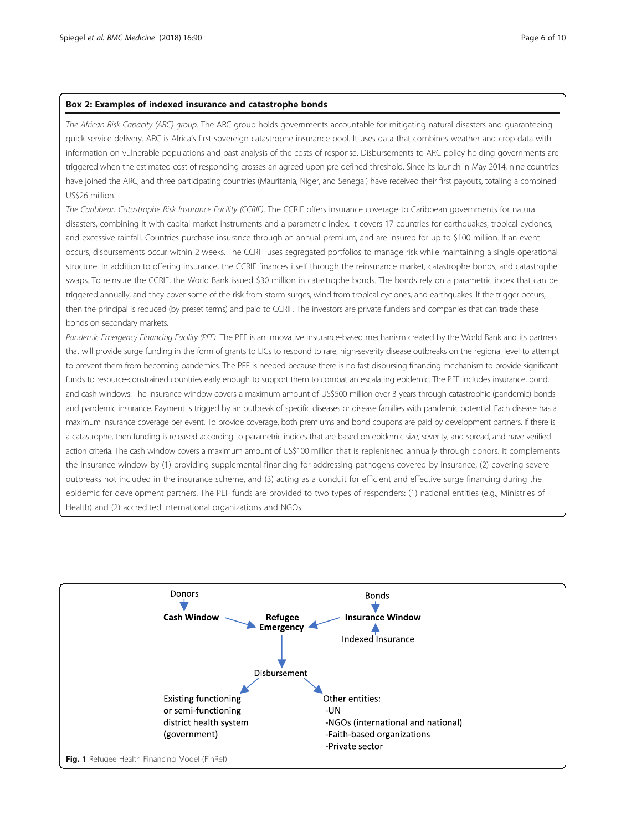## <span id="page-5-0"></span>Box 2: Examples of indexed insurance and catastrophe bonds

The African Risk Capacity (ARC) group. The ARC group holds governments accountable for mitigating natural disasters and guaranteeing quick service delivery. ARC is Africa's first sovereign catastrophe insurance pool. It uses data that combines weather and crop data with information on vulnerable populations and past analysis of the costs of response. Disbursements to ARC policy-holding governments are triggered when the estimated cost of responding crosses an agreed-upon pre-defined threshold. Since its launch in May 2014, nine countries have joined the ARC, and three participating countries (Mauritania, Niger, and Senegal) have received their first payouts, totaling a combined US\$26 million.

The Caribbean Catastrophe Risk Insurance Facility (CCRIF). The CCRIF offers insurance coverage to Caribbean governments for natural disasters, combining it with capital market instruments and a parametric index. It covers 17 countries for earthquakes, tropical cyclones, and excessive rainfall. Countries purchase insurance through an annual premium, and are insured for up to \$100 million. If an event occurs, disbursements occur within 2 weeks. The CCRIF uses segregated portfolios to manage risk while maintaining a single operational structure. In addition to offering insurance, the CCRIF finances itself through the reinsurance market, catastrophe bonds, and catastrophe swaps. To reinsure the CCRIF, the World Bank issued \$30 million in catastrophe bonds. The bonds rely on a parametric index that can be triggered annually, and they cover some of the risk from storm surges, wind from tropical cyclones, and earthquakes. If the trigger occurs, then the principal is reduced (by preset terms) and paid to CCRIF. The investors are private funders and companies that can trade these bonds on secondary markets.

Pandemic Emergency Financing Facility (PEF). The PEF is an innovative insurance-based mechanism created by the World Bank and its partners that will provide surge funding in the form of grants to LICs to respond to rare, high-severity disease outbreaks on the regional level to attempt to prevent them from becoming pandemics. The PEF is needed because there is no fast-disbursing financing mechanism to provide significant funds to resource-constrained countries early enough to support them to combat an escalating epidemic. The PEF includes insurance, bond, and cash windows. The insurance window covers a maximum amount of US\$500 million over 3 years through catastrophic (pandemic) bonds and pandemic insurance. Payment is trigged by an outbreak of specific diseases or disease families with pandemic potential. Each disease has a maximum insurance coverage per event. To provide coverage, both premiums and bond coupons are paid by development partners. If there is a catastrophe, then funding is released according to parametric indices that are based on epidemic size, severity, and spread, and have verified action criteria. The cash window covers a maximum amount of US\$100 million that is replenished annually through donors. It complements the insurance window by (1) providing supplemental financing for addressing pathogens covered by insurance, (2) covering severe outbreaks not included in the insurance scheme, and (3) acting as a conduit for efficient and effective surge financing during the epidemic for development partners. The PEF funds are provided to two types of responders: (1) national entities (e.g., Ministries of Health) and (2) accredited international organizations and NGOs.

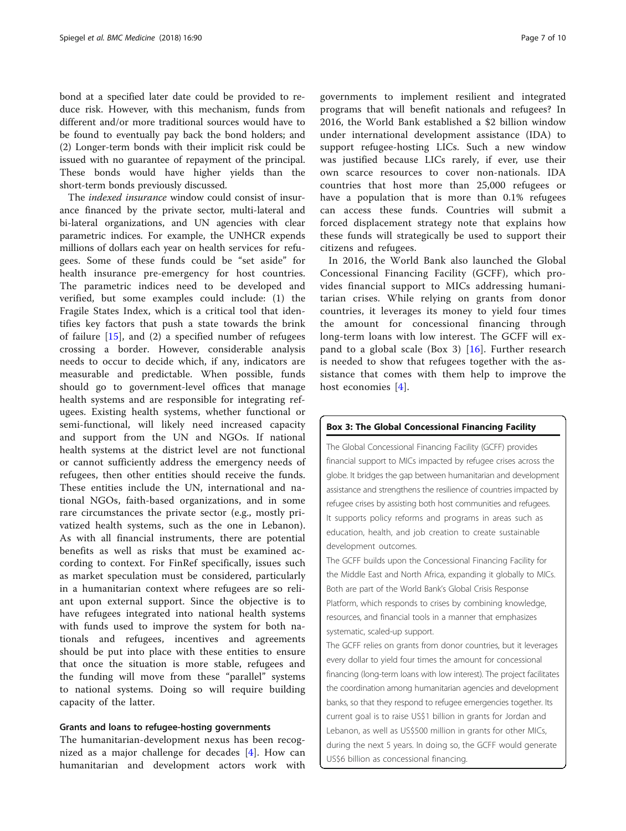bond at a specified later date could be provided to reduce risk. However, with this mechanism, funds from different and/or more traditional sources would have to be found to eventually pay back the bond holders; and (2) Longer-term bonds with their implicit risk could be issued with no guarantee of repayment of the principal. These bonds would have higher yields than the short-term bonds previously discussed.

The indexed insurance window could consist of insurance financed by the private sector, multi-lateral and bi-lateral organizations, and UN agencies with clear parametric indices. For example, the UNHCR expends millions of dollars each year on health services for refugees. Some of these funds could be "set aside" for health insurance pre-emergency for host countries. The parametric indices need to be developed and verified, but some examples could include: (1) the Fragile States Index, which is a critical tool that identifies key factors that push a state towards the brink of failure  $[15]$  $[15]$ , and  $(2)$  a specified number of refugees crossing a border. However, considerable analysis needs to occur to decide which, if any, indicators are measurable and predictable. When possible, funds should go to government-level offices that manage health systems and are responsible for integrating refugees. Existing health systems, whether functional or semi-functional, will likely need increased capacity and support from the UN and NGOs. If national health systems at the district level are not functional or cannot sufficiently address the emergency needs of refugees, then other entities should receive the funds. These entities include the UN, international and national NGOs, faith-based organizations, and in some rare circumstances the private sector (e.g., mostly privatized health systems, such as the one in Lebanon). As with all financial instruments, there are potential benefits as well as risks that must be examined according to context. For FinRef specifically, issues such as market speculation must be considered, particularly in a humanitarian context where refugees are so reliant upon external support. Since the objective is to have refugees integrated into national health systems with funds used to improve the system for both nationals and refugees, incentives and agreements should be put into place with these entities to ensure that once the situation is more stable, refugees and the funding will move from these "parallel" systems to national systems. Doing so will require building capacity of the latter.

## Grants and loans to refugee-hosting governments

The humanitarian-development nexus has been recognized as a major challenge for decades [\[4](#page-8-0)]. How can humanitarian and development actors work with

governments to implement resilient and integrated programs that will benefit nationals and refugees? In 2016, the World Bank established a \$2 billion window under international development assistance (IDA) to support refugee-hosting LICs. Such a new window was justified because LICs rarely, if ever, use their own scarce resources to cover non-nationals. IDA countries that host more than 25,000 refugees or have a population that is more than 0.1% refugees can access these funds. Countries will submit a forced displacement strategy note that explains how these funds will strategically be used to support their citizens and refugees.

In 2016, the World Bank also launched the Global Concessional Financing Facility (GCFF), which provides financial support to MICs addressing humanitarian crises. While relying on grants from donor countries, it leverages its money to yield four times the amount for concessional financing through long-term loans with low interest. The GCFF will expand to a global scale (Box 3)  $[16]$  $[16]$  $[16]$ . Further research is needed to show that refugees together with the assistance that comes with them help to improve the host economies [[4](#page-8-0)].

## Box 3: The Global Concessional Financing Facility

The Global Concessional Financing Facility (GCFF) provides financial support to MICs impacted by refugee crises across the globe. It bridges the gap between humanitarian and development assistance and strengthens the resilience of countries impacted by refugee crises by assisting both host communities and refugees. It supports policy reforms and programs in areas such as education, health, and job creation to create sustainable development outcomes.

The GCFF builds upon the Concessional Financing Facility for the Middle East and North Africa, expanding it globally to MICs. Both are part of the World Bank's Global Crisis Response Platform, which responds to crises by combining knowledge, resources, and financial tools in a manner that emphasizes systematic, scaled-up support.

The GCFF relies on grants from donor countries, but it leverages every dollar to yield four times the amount for concessional financing (long-term loans with low interest). The project facilitates the coordination among humanitarian agencies and development banks, so that they respond to refugee emergencies together. Its current goal is to raise US\$1 billion in grants for Jordan and Lebanon, as well as US\$500 million in grants for other MICs, during the next 5 years. In doing so, the GCFF would generate US\$6 billion as concessional financing.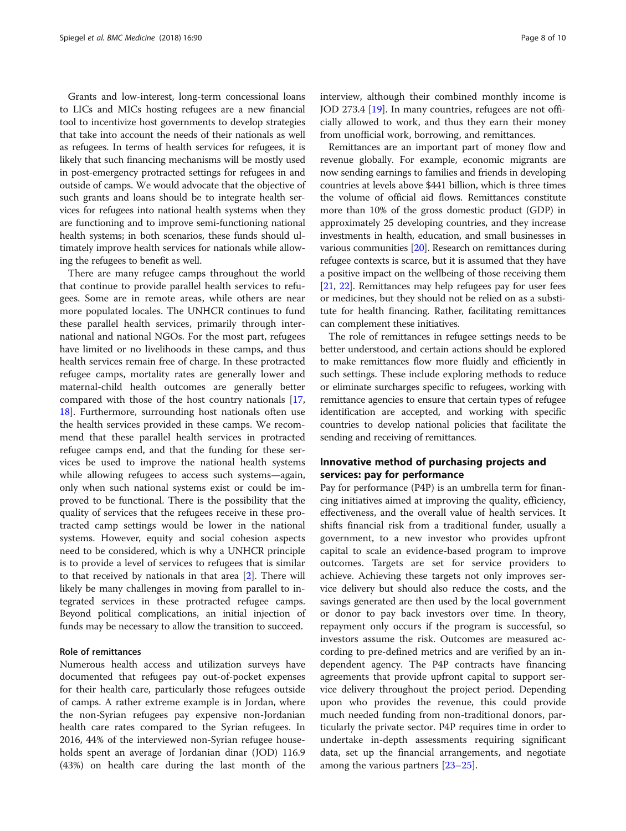Grants and low-interest, long-term concessional loans to LICs and MICs hosting refugees are a new financial tool to incentivize host governments to develop strategies that take into account the needs of their nationals as well as refugees. In terms of health services for refugees, it is likely that such financing mechanisms will be mostly used in post-emergency protracted settings for refugees in and outside of camps. We would advocate that the objective of such grants and loans should be to integrate health services for refugees into national health systems when they are functioning and to improve semi-functioning national health systems; in both scenarios, these funds should ultimately improve health services for nationals while allowing the refugees to benefit as well.

There are many refugee camps throughout the world that continue to provide parallel health services to refugees. Some are in remote areas, while others are near more populated locales. The UNHCR continues to fund these parallel health services, primarily through international and national NGOs. For the most part, refugees have limited or no livelihoods in these camps, and thus health services remain free of charge. In these protracted refugee camps, mortality rates are generally lower and maternal-child health outcomes are generally better compared with those of the host country nationals [[17](#page-9-0), [18\]](#page-9-0). Furthermore, surrounding host nationals often use the health services provided in these camps. We recommend that these parallel health services in protracted refugee camps end, and that the funding for these services be used to improve the national health systems while allowing refugees to access such systems—again, only when such national systems exist or could be improved to be functional. There is the possibility that the quality of services that the refugees receive in these protracted camp settings would be lower in the national systems. However, equity and social cohesion aspects need to be considered, which is why a UNHCR principle is to provide a level of services to refugees that is similar to that received by nationals in that area [\[2](#page-8-0)]. There will likely be many challenges in moving from parallel to integrated services in these protracted refugee camps. Beyond political complications, an initial injection of funds may be necessary to allow the transition to succeed.

## Role of remittances

Numerous health access and utilization surveys have documented that refugees pay out-of-pocket expenses for their health care, particularly those refugees outside of camps. A rather extreme example is in Jordan, where the non-Syrian refugees pay expensive non-Jordanian health care rates compared to the Syrian refugees. In 2016, 44% of the interviewed non-Syrian refugee households spent an average of Jordanian dinar (JOD) 116.9 (43%) on health care during the last month of the interview, although their combined monthly income is JOD 273.4 [[19\]](#page-9-0). In many countries, refugees are not officially allowed to work, and thus they earn their money from unofficial work, borrowing, and remittances.

Remittances are an important part of money flow and revenue globally. For example, economic migrants are now sending earnings to families and friends in developing countries at levels above \$441 billion, which is three times the volume of official aid flows. Remittances constitute more than 10% of the gross domestic product (GDP) in approximately 25 developing countries, and they increase investments in health, education, and small businesses in various communities [\[20\]](#page-9-0). Research on remittances during refugee contexts is scarce, but it is assumed that they have a positive impact on the wellbeing of those receiving them [[21](#page-9-0), [22\]](#page-9-0). Remittances may help refugees pay for user fees or medicines, but they should not be relied on as a substitute for health financing. Rather, facilitating remittances can complement these initiatives.

The role of remittances in refugee settings needs to be better understood, and certain actions should be explored to make remittances flow more fluidly and efficiently in such settings. These include exploring methods to reduce or eliminate surcharges specific to refugees, working with remittance agencies to ensure that certain types of refugee identification are accepted, and working with specific countries to develop national policies that facilitate the sending and receiving of remittances.

## Innovative method of purchasing projects and services: pay for performance

Pay for performance (P4P) is an umbrella term for financing initiatives aimed at improving the quality, efficiency, effectiveness, and the overall value of health services. It shifts financial risk from a traditional funder, usually a government, to a new investor who provides upfront capital to scale an evidence-based program to improve outcomes. Targets are set for service providers to achieve. Achieving these targets not only improves service delivery but should also reduce the costs, and the savings generated are then used by the local government or donor to pay back investors over time. In theory, repayment only occurs if the program is successful, so investors assume the risk. Outcomes are measured according to pre-defined metrics and are verified by an independent agency. The P4P contracts have financing agreements that provide upfront capital to support service delivery throughout the project period. Depending upon who provides the revenue, this could provide much needed funding from non-traditional donors, particularly the private sector. P4P requires time in order to undertake in-depth assessments requiring significant data, set up the financial arrangements, and negotiate among the various partners [[23](#page-9-0)–[25](#page-9-0)].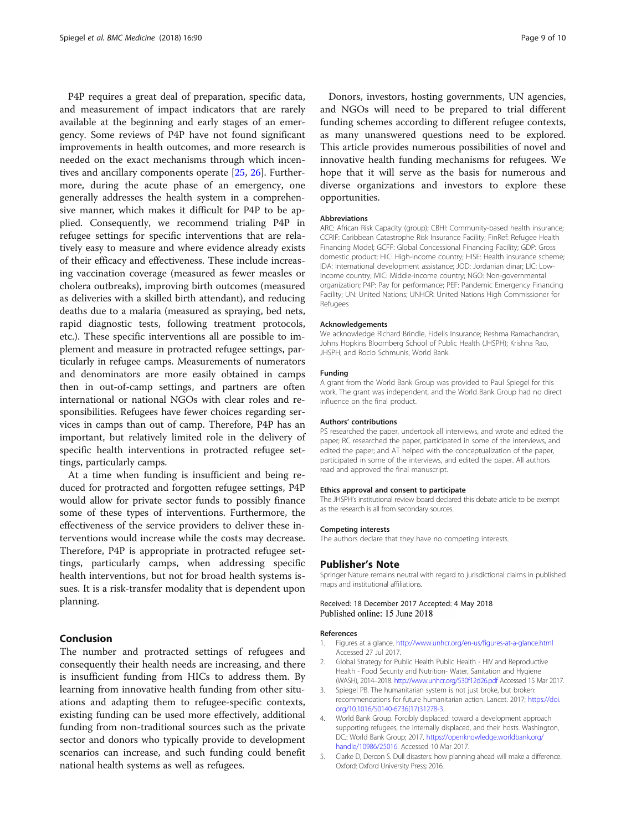<span id="page-8-0"></span>P4P requires a great deal of preparation, specific data, and measurement of impact indicators that are rarely available at the beginning and early stages of an emergency. Some reviews of P4P have not found significant improvements in health outcomes, and more research is needed on the exact mechanisms through which incentives and ancillary components operate [\[25](#page-9-0), [26](#page-9-0)]. Furthermore, during the acute phase of an emergency, one generally addresses the health system in a comprehensive manner, which makes it difficult for P4P to be applied. Consequently, we recommend trialing P4P in refugee settings for specific interventions that are relatively easy to measure and where evidence already exists of their efficacy and effectiveness. These include increasing vaccination coverage (measured as fewer measles or cholera outbreaks), improving birth outcomes (measured as deliveries with a skilled birth attendant), and reducing deaths due to a malaria (measured as spraying, bed nets, rapid diagnostic tests, following treatment protocols, etc.). These specific interventions all are possible to implement and measure in protracted refugee settings, particularly in refugee camps. Measurements of numerators and denominators are more easily obtained in camps then in out-of-camp settings, and partners are often international or national NGOs with clear roles and responsibilities. Refugees have fewer choices regarding services in camps than out of camp. Therefore, P4P has an important, but relatively limited role in the delivery of specific health interventions in protracted refugee settings, particularly camps.

At a time when funding is insufficient and being reduced for protracted and forgotten refugee settings, P4P would allow for private sector funds to possibly finance some of these types of interventions. Furthermore, the effectiveness of the service providers to deliver these interventions would increase while the costs may decrease. Therefore, P4P is appropriate in protracted refugee settings, particularly camps, when addressing specific health interventions, but not for broad health systems issues. It is a risk-transfer modality that is dependent upon planning.

## Conclusion

The number and protracted settings of refugees and consequently their health needs are increasing, and there is insufficient funding from HICs to address them. By learning from innovative health funding from other situations and adapting them to refugee-specific contexts, existing funding can be used more effectively, additional funding from non-traditional sources such as the private sector and donors who typically provide to development scenarios can increase, and such funding could benefit national health systems as well as refugees.

Donors, investors, hosting governments, UN agencies, and NGOs will need to be prepared to trial different funding schemes according to different refugee contexts, as many unanswered questions need to be explored. This article provides numerous possibilities of novel and innovative health funding mechanisms for refugees. We hope that it will serve as the basis for numerous and diverse organizations and investors to explore these opportunities.

#### Abbreviations

ARC: African Risk Capacity (group); CBHI: Community-based health insurance; CCRIF: Caribbean Catastrophe Risk Insurance Facility; FinRef: Refugee Health Financing Model; GCFF: Global Concessional Financing Facility; GDP: Gross domestic product; HIC: High-income country; HISE: Health insurance scheme; IDA: International development assistance; JOD: Jordanian dinar; LIC: Lowincome country; MIC: Middle-income country; NGO: Non-governmental organization; P4P: Pay for performance; PEF: Pandemic Emergency Financing Facility; UN: United Nations; UNHCR: United Nations High Commissioner for Refugees

#### Acknowledgements

We acknowledge Richard Brindle, Fidelis Insurance; Reshma Ramachandran, Johns Hopkins Bloomberg School of Public Health (JHSPH); Krishna Rao, JHSPH; and Rocio Schmunis, World Bank.

#### Funding

A grant from the World Bank Group was provided to Paul Spiegel for this work. The grant was independent, and the World Bank Group had no direct influence on the final product.

#### Authors' contributions

PS researched the paper, undertook all interviews, and wrote and edited the paper; RC researched the paper, participated in some of the interviews, and edited the paper; and AT helped with the conceptualization of the paper, participated in some of the interviews, and edited the paper. All authors read and approved the final manuscript.

#### Ethics approval and consent to participate

The JHSPH's institutional review board declared this debate article to be exempt as the research is all from secondary sources.

#### Competing interests

The authors declare that they have no competing interests.

#### Publisher's Note

Springer Nature remains neutral with regard to jurisdictional claims in published maps and institutional affiliations.

#### Received: 18 December 2017 Accepted: 4 May 2018 Published online: 15 June 2018

#### References

- 1. Figures at a glance. <http://www.unhcr.org/en-us/figures-at-a-glance.html> Accessed 27 Jul 2017.
- 2. Global Strategy for Public Health Public Health HIV and Reproductive Health - Food Security and Nutrition- Water, Sanitation and Hygiene (WASH), 2014–2018. <http://www.unhcr.org/530f12d26.pdf> Accessed 15 Mar 2017.
- 3. Spiegel PB. The humanitarian system is not just broke, but broken: recommendations for future humanitarian action. Lancet. 2017; [https://doi.](https://doi.org/10.1016/S0140-6736(17)31278-3) [org/10.1016/S0140-6736\(17\)31278-3.](https://doi.org/10.1016/S0140-6736(17)31278-3)
- 4. World Bank Group. Forcibly displaced: toward a development approach supporting refugees, the internally displaced, and their hosts. Washington, DC.: World Bank Group; 2017. [https://openknowledge.worldbank.org/](https://openknowledge.worldbank.org/handle/10986/25016) [handle/10986/25016](https://openknowledge.worldbank.org/handle/10986/25016). Accessed 10 Mar 2017.
- 5. Clarke D, Dercon S. Dull disasters: how planning ahead will make a difference. Oxford: Oxford University Press; 2016.